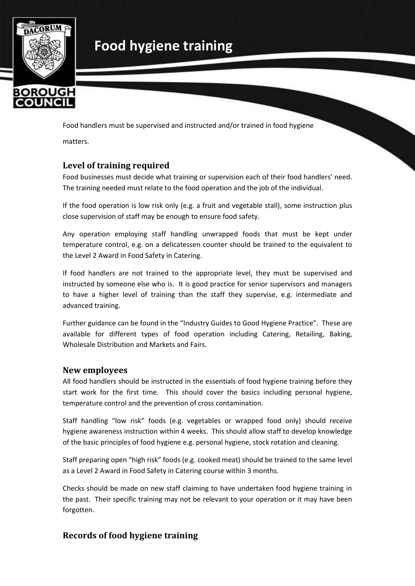

# **Food hygiene training**

Food handlers must be supervised and instructed and/or trained in food hygiene

matters.

#### **Level of training required**

Food businesses must decide what training or supervision each of their food handlers' need. The training needed must relate to the food operation and the job of the individual.

If the food operation is low risk only (e.g. a fruit and vegetable stall), some instruction plus close supervision of staff may be enough to ensure food safety.

Any operation employing staff handling unwrapped foods that must be kept under temperature control, e.g. on a delicatessen counter should be trained to the equivalent to the Level 2 Award in Food Safety in Catering.

If food handlers are not trained to the appropriate level, they must be supervised and instructed by someone else who is. It is good practice for senior supervisors and managers to have a higher level of training than the staff they supervise, e.g. intermediate and advanced training.

Further guidance can be found in the "Industry Guides to Good Hygiene Practice". These are available for different types of food operation including Catering, Retailing, Baking, Wholesale Distribution and Markets and Fairs.

#### **New employees**

All food handlers should be instructed in the essentials of food hygiene training before they start work for the first time. This should cover the basics including personal hygiene, temperature control and the prevention of cross contamination.

Staff handling "low risk" foods (e.g. vegetables or wrapped food only) should receive hygiene awareness instruction within 4 weeks. This should allow staff to develop knowledge of the basic principles of food hygiene e.g. personal hygiene, stock rotation and cleaning.

Staff preparing open "high risk" foods (e.g. cooked meat) should be trained to the same level as a Level 2 Award in Food Safety in Catering course within 3 months.

Checks should be made on new staff claiming to have undertaken food hygiene training in the past. Their specific training may not be relevant to your operation or it may have been forgotten.

#### **Records of food hygiene training**